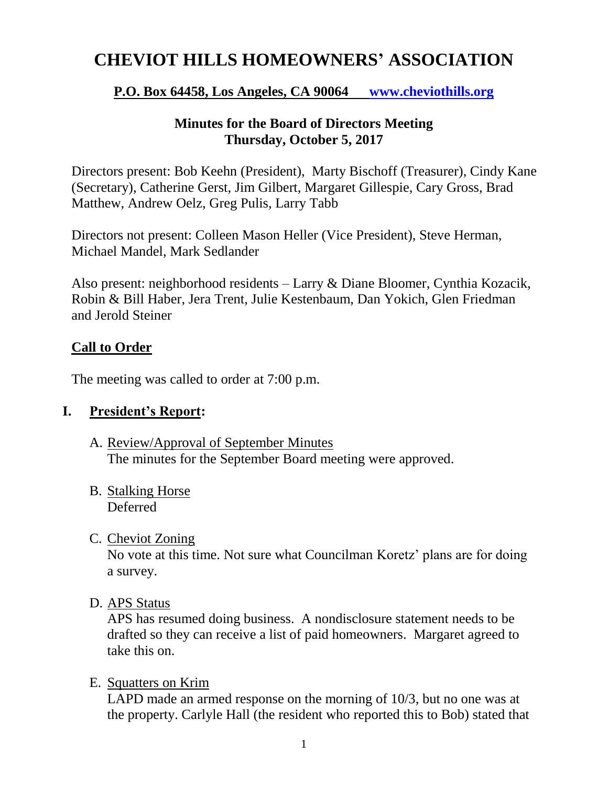# **CHEVIOT HILLS HOMEOWNERS' ASSOCIATION**

# **P.O. Box 64458, Los Angeles, CA 90064 [www.cheviothills.org](http://www.cheviothills.org/)**

## **Minutes for the Board of Directors Meeting Thursday, October 5, 2017**

Directors present: Bob Keehn (President), Marty Bischoff (Treasurer), Cindy Kane (Secretary), Catherine Gerst, Jim Gilbert, Margaret Gillespie, Cary Gross, Brad Matthew, Andrew Oelz, Greg Pulis, Larry Tabb

Directors not present: Colleen Mason Heller (Vice President), Steve Herman, Michael Mandel, Mark Sedlander

Also present: neighborhood residents – Larry & Diane Bloomer, Cynthia Kozacik, Robin & Bill Haber, Jera Trent, Julie Kestenbaum, Dan Yokich, Glen Friedman and Jerold Steiner

# **Call to Order**

The meeting was called to order at 7:00 p.m.

# **I. President's Report:**

- A. Review/Approval of September Minutes The minutes for the September Board meeting were approved.
- B. Stalking Horse Deferred
- C. Cheviot Zoning

No vote at this time. Not sure what Councilman Koretz' plans are for doing a survey.

D. APS Status

APS has resumed doing business. A nondisclosure statement needs to be drafted so they can receive a list of paid homeowners. Margaret agreed to take this on.

E. Squatters on Krim

LAPD made an armed response on the morning of 10/3, but no one was at the property. Carlyle Hall (the resident who reported this to Bob) stated that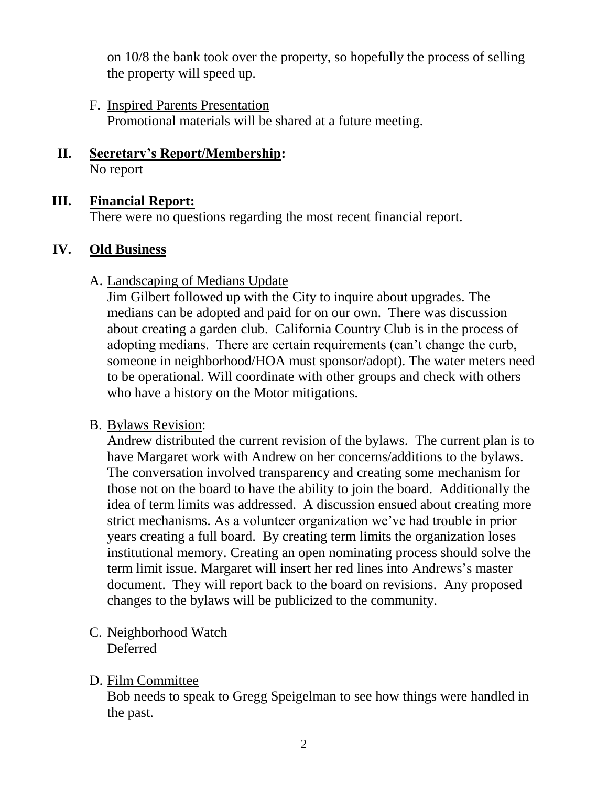on 10/8 the bank took over the property, so hopefully the process of selling the property will speed up.

- F. Inspired Parents Presentation Promotional materials will be shared at a future meeting.
- **II. Secretary's Report/Membership:** No report

# **III. Financial Report:**

There were no questions regarding the most recent financial report.

## **IV. Old Business**

#### A. Landscaping of Medians Update

Jim Gilbert followed up with the City to inquire about upgrades. The medians can be adopted and paid for on our own. There was discussion about creating a garden club. California Country Club is in the process of adopting medians. There are certain requirements (can't change the curb, someone in neighborhood/HOA must sponsor/adopt). The water meters need to be operational. Will coordinate with other groups and check with others who have a history on the Motor mitigations.

#### B. Bylaws Revision:

Andrew distributed the current revision of the bylaws. The current plan is to have Margaret work with Andrew on her concerns/additions to the bylaws. The conversation involved transparency and creating some mechanism for those not on the board to have the ability to join the board. Additionally the idea of term limits was addressed. A discussion ensued about creating more strict mechanisms. As a volunteer organization we've had trouble in prior years creating a full board. By creating term limits the organization loses institutional memory. Creating an open nominating process should solve the term limit issue. Margaret will insert her red lines into Andrews's master document. They will report back to the board on revisions. Any proposed changes to the bylaws will be publicized to the community.

C. Neighborhood Watch Deferred

# D. Film Committee

Bob needs to speak to Gregg Speigelman to see how things were handled in the past.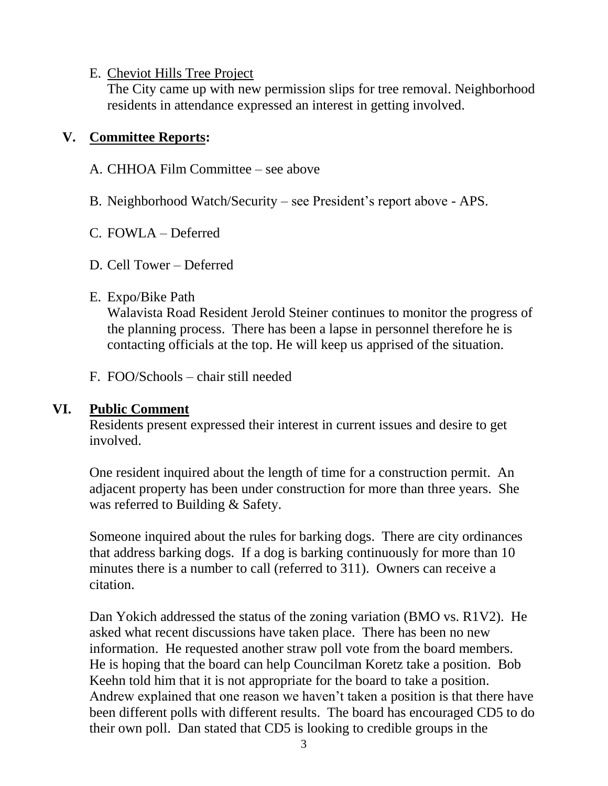#### E. Cheviot Hills Tree Project

The City came up with new permission slips for tree removal. Neighborhood residents in attendance expressed an interest in getting involved.

## **V. Committee Reports:**

- A. CHHOA Film Committee see above
- B. Neighborhood Watch/Security see President's report above APS.
- C. FOWLA Deferred
- D. Cell Tower Deferred

## E. Expo/Bike Path

Walavista Road Resident Jerold Steiner continues to monitor the progress of the planning process. There has been a lapse in personnel therefore he is contacting officials at the top. He will keep us apprised of the situation.

F. FOO/Schools – chair still needed

# **VI. Public Comment**

Residents present expressed their interest in current issues and desire to get involved.

One resident inquired about the length of time for a construction permit. An adjacent property has been under construction for more than three years. She was referred to Building & Safety.

Someone inquired about the rules for barking dogs. There are city ordinances that address barking dogs. If a dog is barking continuously for more than 10 minutes there is a number to call (referred to 311). Owners can receive a citation.

Dan Yokich addressed the status of the zoning variation (BMO vs. R1V2). He asked what recent discussions have taken place. There has been no new information. He requested another straw poll vote from the board members. He is hoping that the board can help Councilman Koretz take a position. Bob Keehn told him that it is not appropriate for the board to take a position. Andrew explained that one reason we haven't taken a position is that there have been different polls with different results. The board has encouraged CD5 to do their own poll. Dan stated that CD5 is looking to credible groups in the